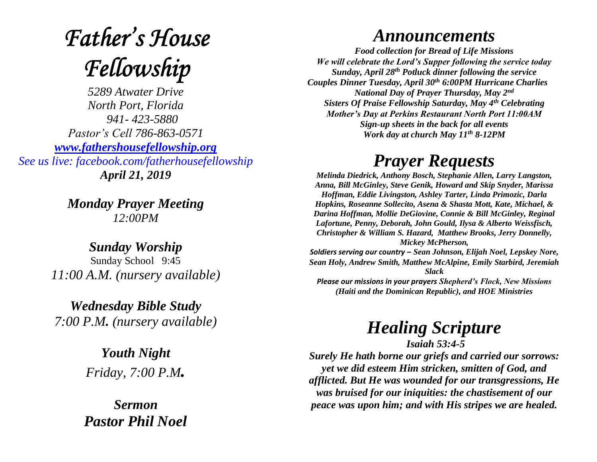# **Father's House** Fellowship

*5289 Atwater Drive North Port, Florida 941- 423-5880 Pastor's Cell 786-863-0571 [www.fathershousefellowship.org](http://www.fathershousefellowship.org/) See us live: facebook.com/fatherhousefellowship April 21, 2019*

> *Monday Prayer Meeting 12:00PM*

*Sunday Worship* Sunday School 9:45 *11:00 A.M. (nursery available)*

*Wednesday Bible Study 7:00 P.M. (nursery available)*

> *Youth Night Friday, 7:00 P.M.*

*Sermon Pastor Phil Noel*

#### *Announcements*

*Food collection for Bread of Life Missions We will celebrate the Lord's Supper following the service today Sunday, April 28th Potluck dinner following the service Couples Dinner Tuesday, April 30th 6:00PM Hurricane Charlies National Day of Prayer Thursday, May 2nd Sisters Of Praise Fellowship Saturday, May 4th Celebrating Mother's Day at Perkins Restaurant North Port 11:00AM Sign-up sheets in the back for all events Work day at church May 11th 8-12PM*

### *Prayer Requests*

*Melinda Diedrick, Anthony Bosch, Stephanie Allen, Larry Langston, Anna, Bill McGinley, Steve Genik, Howard and Skip Snyder, Marissa Hoffman, Eddie Livingston, Ashley Tarter, Linda Primozic, Darla Hopkins, Roseanne Sollecito, Asena & Shasta Mott, Kate, Michael, & Darina Hoffman, Mollie DeGiovine, Connie & Bill McGinley, Reginal Lafortune, Penny, Deborah, John Gould, Ilysa & Alberto Weissfisch, Christopher & William S. Hazard, Matthew Brooks, Jerry Donnelly, Mickey McPherson, Soldiers serving our country – Sean Johnson, Elijah Noel, Lepskey Nore,* 

*Sean Holy, Andrew Smith, Matthew McAlpine, Emily Starbird, Jeremiah Slack*

*Please our missions in your prayers Shepherd's Flock, New Missions (Haiti and the Dominican Republic), and HOE Ministries*

## *Healing Scripture*

*Isaiah 53:4-5*

*Surely He hath borne our griefs and carried our sorrows: yet we did esteem Him stricken, smitten of God, and afflicted. But He was wounded for our transgressions, He was bruised for our iniquities: the chastisement of our peace was upon him; and with His stripes we are healed.*